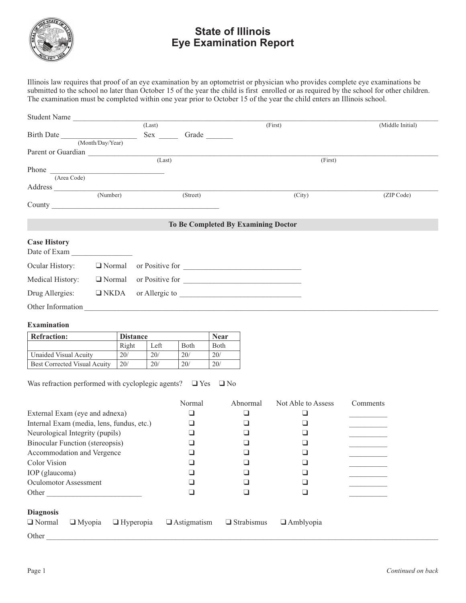

## **State of Illinois Eye Examination Report**

Illinois law requires that proof of an eye examination by an optometrist or physician who provides complete eye examinations be submitted to the school no later than October 15 of the year the child is first enrolled or as required by the school for other children. The examination must be completed within one year prior to October 15 of the year the child enters an Illinois school.

| Student Name                        |                  |        |          |                                     |                  |  |
|-------------------------------------|------------------|--------|----------|-------------------------------------|------------------|--|
|                                     |                  | (Last) |          | (First)                             | (Middle Initial) |  |
| Birth Date                          |                  |        | Grade    |                                     |                  |  |
|                                     | (Month/Day/Year) |        |          |                                     |                  |  |
| Parent or Guardian                  |                  |        |          |                                     |                  |  |
|                                     | (Last)           |        |          | (First)                             |                  |  |
| Phone                               |                  |        |          |                                     |                  |  |
| (Area Code)                         |                  |        |          |                                     |                  |  |
|                                     |                  |        |          |                                     |                  |  |
|                                     | (Number)         |        | (Street) | (City)                              | (ZIP Code)       |  |
|                                     |                  |        |          |                                     |                  |  |
|                                     |                  |        |          |                                     |                  |  |
|                                     |                  |        |          | To Be Completed By Examining Doctor |                  |  |
| <b>Case History</b><br>Date of Exam |                  |        |          |                                     |                  |  |
| Ocular History:                     | $\Box$ Normal    |        |          | or Positive for                     |                  |  |
| Medical History:                    | $\Box$ Normal    |        |          | or Positive for                     |                  |  |
| Drug Allergies:                     | $\Box$ NKDA      |        |          | or Allergic to                      |                  |  |

## **Examination**

| <b>Refraction:</b>                  | <b>Distance</b> |      |              | <b>Near</b>  |
|-------------------------------------|-----------------|------|--------------|--------------|
|                                     | Right           | Left | <b>B</b> oth | <b>B</b> oth |
| Unaided Visual Acuity               | 20/             | 20/  | 20/          | 20/          |
| <b>Best Corrected Visual Acuity</b> | 20/             | 20/  | 20/          | 20/          |

Other Information \_\_\_\_\_\_\_\_\_\_\_\_\_\_\_\_\_\_\_\_\_\_\_\_\_\_\_\_\_\_\_\_\_\_\_\_\_\_\_\_\_\_\_\_\_\_\_\_\_\_\_\_\_\_\_\_\_\_\_\_\_\_\_\_\_\_\_\_\_\_\_\_\_\_\_\_\_\_\_\_\_\_\_\_\_\_\_\_\_\_\_\_\_

Was refraction performed with cycloplegic agents?  $\Box$  Yes  $\Box$  No

|                                                    | Normal             | Abnormal          | Not Able to Assess | Comments |
|----------------------------------------------------|--------------------|-------------------|--------------------|----------|
| External Exam (eye and adnexa)                     |                    |                   |                    |          |
| Internal Exam (media, lens, fundus, etc.)          |                    |                   |                    |          |
| Neurological Integrity (pupils)                    |                    |                   |                    |          |
| <b>Binocular Function (stereopsis)</b>             |                    |                   |                    |          |
| Accommodation and Vergence                         |                    |                   |                    |          |
| Color Vision                                       |                    |                   |                    |          |
| IOP (glaucoma)                                     |                    |                   |                    |          |
| <b>Oculomotor Assessment</b>                       |                    |                   |                    |          |
| Other                                              |                    |                   |                    |          |
|                                                    |                    |                   |                    |          |
| <b>Diagnosis</b>                                   |                    |                   |                    |          |
| $\Box$ Normal<br>$\Box$ Myopia<br>$\Box$ Hyperopia | $\Box$ Astigmatism | $\Box$ Strabismus | $\Box$ Amblyopia   |          |
| Other                                              |                    |                   |                    |          |